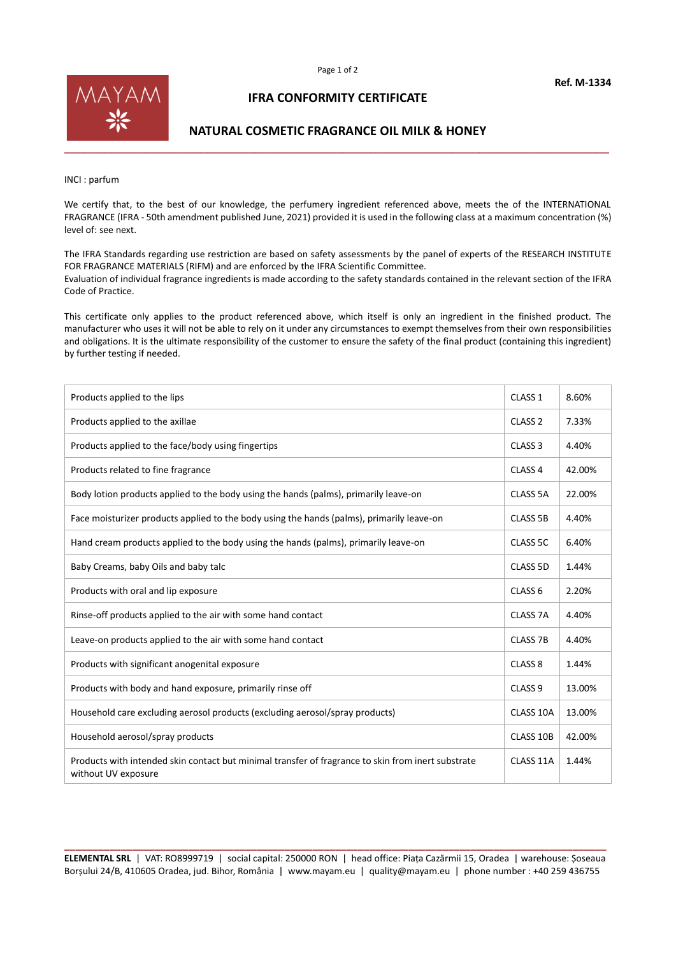

## **IFRA CONFORMITY CERTIFICATE**

## **NATURAL COSMETIC FRAGRANCE OIL MILK & HONEY**

INCI : parfum

We certify that, to the best of our knowledge, the perfumery ingredient referenced above, meets the of the INTERNATIONAL FRAGRANCE (IFRA - 50th amendment published June, 2021) provided it is used in the following class at a maximum concentration (%) level of: see next.

The IFRA Standards regarding use restriction are based on safety assessments by the panel of experts of the RESEARCH INSTITUTE FOR FRAGRANCE MATERIALS (RIFM) and are enforced by the IFRA Scientific Committee. Evaluation of individual fragrance ingredients is made according to the safety standards contained in the relevant section of the IFRA Code of Practice.

This certificate only applies to the product referenced above, which itself is only an ingredient in the finished product. The manufacturer who uses it will not be able to rely on it under any circumstances to exempt themselves from their own responsibilities and obligations. It is the ultimate responsibility of the customer to ensure the safety of the final product (containing this ingredient) by further testing if needed.

| Products applied to the lips                                                                                              | CLASS <sub>1</sub> | 8.60%  |
|---------------------------------------------------------------------------------------------------------------------------|--------------------|--------|
| Products applied to the axillae                                                                                           | CLASS <sub>2</sub> | 7.33%  |
| Products applied to the face/body using fingertips                                                                        | CLASS <sub>3</sub> | 4.40%  |
| Products related to fine fragrance                                                                                        | CLASS <sub>4</sub> | 42.00% |
| Body lotion products applied to the body using the hands (palms), primarily leave-on                                      | CLASS 5A           | 22.00% |
| Face moisturizer products applied to the body using the hands (palms), primarily leave-on                                 | <b>CLASS 5B</b>    | 4.40%  |
| Hand cream products applied to the body using the hands (palms), primarily leave-on                                       | CLASS 5C           | 6.40%  |
| Baby Creams, baby Oils and baby talc                                                                                      | CLASS 5D           | 1.44%  |
| Products with oral and lip exposure                                                                                       | CLASS <sub>6</sub> | 2.20%  |
| Rinse-off products applied to the air with some hand contact                                                              | CLASS 7A           | 4.40%  |
| Leave-on products applied to the air with some hand contact                                                               | <b>CLASS 7B</b>    | 4.40%  |
| Products with significant anogenital exposure                                                                             | CLASS <sub>8</sub> | 1.44%  |
| Products with body and hand exposure, primarily rinse off                                                                 | CLASS <sub>9</sub> | 13.00% |
| Household care excluding aerosol products (excluding aerosol/spray products)                                              | CLASS 10A          | 13.00% |
| Household aerosol/spray products                                                                                          | CLASS 10B          | 42.00% |
| Products with intended skin contact but minimal transfer of fragrance to skin from inert substrate<br>without UV exposure | CLASS 11A          | 1.44%  |

**\_\_\_\_\_\_\_\_\_\_\_\_\_\_\_\_\_\_\_\_\_\_\_\_\_\_\_\_\_\_\_\_\_\_\_\_\_\_\_\_\_\_\_\_\_\_\_\_\_\_\_\_\_\_\_\_\_\_\_\_\_\_\_\_\_\_\_\_\_\_\_\_\_\_\_\_\_\_\_\_\_\_\_\_\_\_\_\_\_\_\_\_\_\_\_\_ ELEMENTAL SRL** | VAT: RO8999719 | social capital: 250000 RON | head office: Piața Cazărmii 15, Oradea | warehouse: Șoseaua Borșului 24/B, 410605 Oradea, jud. Bihor, România | www.mayam.eu | quality@mayam.eu | phone number : +40 259 436755